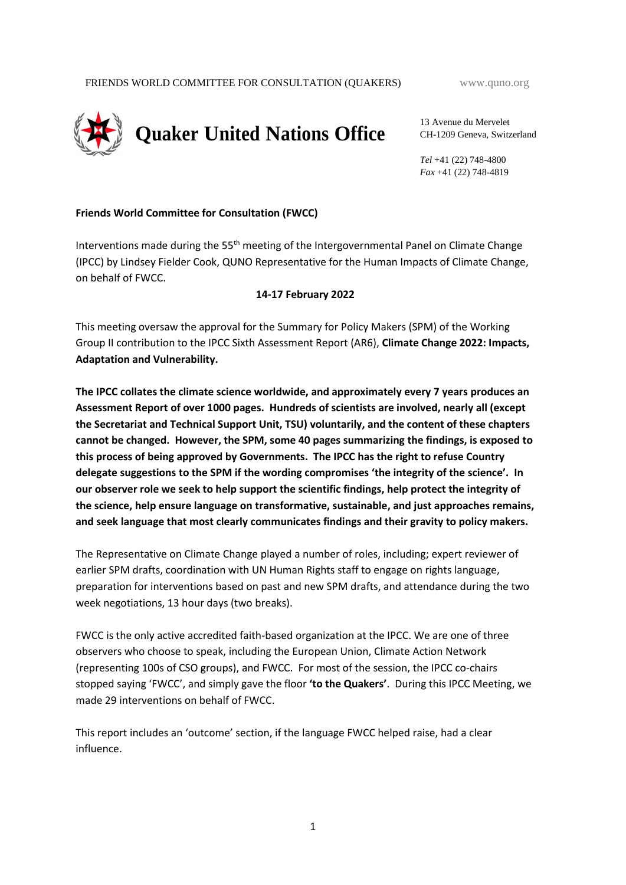

13 Avenue du Mervelet CH-1209 Geneva, Switzerland

*Tel* +41 (22) 748-4800 *Fax* +41 (22) 748-4819

#### **Friends World Committee for Consultation (FWCC)**

Interventions made during the  $55<sup>th</sup>$  meeting of the Intergovernmental Panel on Climate Change (IPCC) by Lindsey Fielder Cook, QUNO Representative for the Human Impacts of Climate Change, on behalf of FWCC.

#### **14-17 February 2022**

This meeting oversaw the approval for the Summary for Policy Makers (SPM) of the Working Group II contribution to the IPCC Sixth Assessment Report (AR6), **Climate Change 2022: Impacts, Adaptation and Vulnerability.**

**The IPCC collates the climate science worldwide, and approximately every 7 years produces an Assessment Report of over 1000 pages. Hundreds of scientists are involved, nearly all (except the Secretariat and Technical Support Unit, TSU) voluntarily, and the content of these chapters cannot be changed. However, the SPM, some 40 pages summarizing the findings, is exposed to this process of being approved by Governments. The IPCC has the right to refuse Country delegate suggestions to the SPM if the wording compromises 'the integrity of the science'. In our observer role we seek to help support the scientific findings, help protect the integrity of the science, help ensure language on transformative, sustainable, and just approaches remains, and seek language that most clearly communicates findings and their gravity to policy makers.** 

The Representative on Climate Change played a number of roles, including; expert reviewer of earlier SPM drafts, coordination with UN Human Rights staff to engage on rights language, preparation for interventions based on past and new SPM drafts, and attendance during the two week negotiations, 13 hour days (two breaks).

FWCC is the only active accredited faith-based organization at the IPCC. We are one of three observers who choose to speak, including the European Union, Climate Action Network (representing 100s of CSO groups), and FWCC. For most of the session, the IPCC co-chairs stopped saying 'FWCC', and simply gave the floor **'to the Quakers'**. During this IPCC Meeting, we made 29 interventions on behalf of FWCC.

This report includes an 'outcome' section, if the language FWCC helped raise, had a clear influence.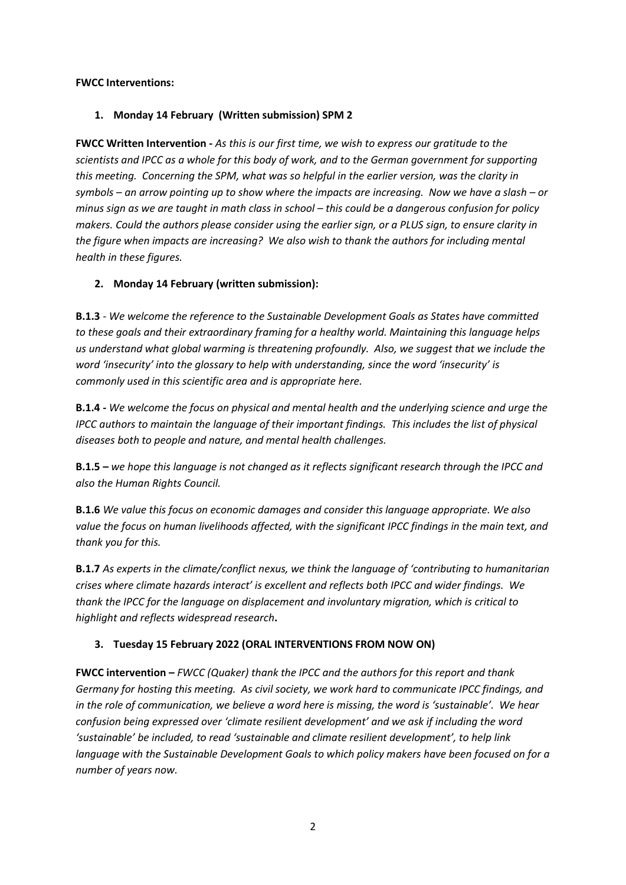#### **FWCC Interventions:**

### **1. Monday 14 February (Written submission) SPM 2**

**FWCC Written Intervention -** *As this is our first time, we wish to express our gratitude to the scientists and IPCC as a whole for this body of work, and to the German government for supporting this meeting. Concerning the SPM, what was so helpful in the earlier version, was the clarity in symbols – an arrow pointing up to show where the impacts are increasing. Now we have a slash – or minus sign as we are taught in math class in school – this could be a dangerous confusion for policy makers. Could the authors please consider using the earlier sign, or a PLUS sign, to ensure clarity in the figure when impacts are increasing? We also wish to thank the authors for including mental health in these figures.* 

### **2. Monday 14 February (written submission):**

**B.1.3** *- We welcome the reference to the Sustainable Development Goals as States have committed to these goals and their extraordinary framing for a healthy world. Maintaining this language helps us understand what global warming is threatening profoundly. Also, we suggest that we include the word 'insecurity' into the glossary to help with understanding, since the word 'insecurity' is commonly used in this scientific area and is appropriate here.*

**B.1.4 -** *We welcome the focus on physical and mental health and the underlying science and urge the IPCC authors to maintain the language of their important findings. This includes the list of physical diseases both to people and nature, and mental health challenges.*

**B.1.5 –** *we hope this language is not changed as it reflects significant research through the IPCC and also the Human Rights Council.* 

**B.1.6** *We value this focus on economic damages and consider this language appropriate. We also value the focus on human livelihoods affected, with the significant IPCC findings in the main text, and thank you for this.*

**B.1.7** *As experts in the climate/conflict nexus, we think the language of 'contributing to humanitarian crises where climate hazards interact' is excellent and reflects both IPCC and wider findings. We thank the IPCC for the language on displacement and involuntary migration, which is critical to highlight and reflects widespread research***.**

# **3. Tuesday 15 February 2022 (ORAL INTERVENTIONS FROM NOW ON)**

**FWCC intervention –** *FWCC (Quaker) thank the IPCC and the authors for this report and thank Germany for hosting this meeting. As civil society, we work hard to communicate IPCC findings, and in the role of communication, we believe a word here is missing, the word is 'sustainable'. We hear confusion being expressed over 'climate resilient development' and we ask if including the word 'sustainable' be included, to read 'sustainable and climate resilient development', to help link language with the Sustainable Development Goals to which policy makers have been focused on for a number of years now.*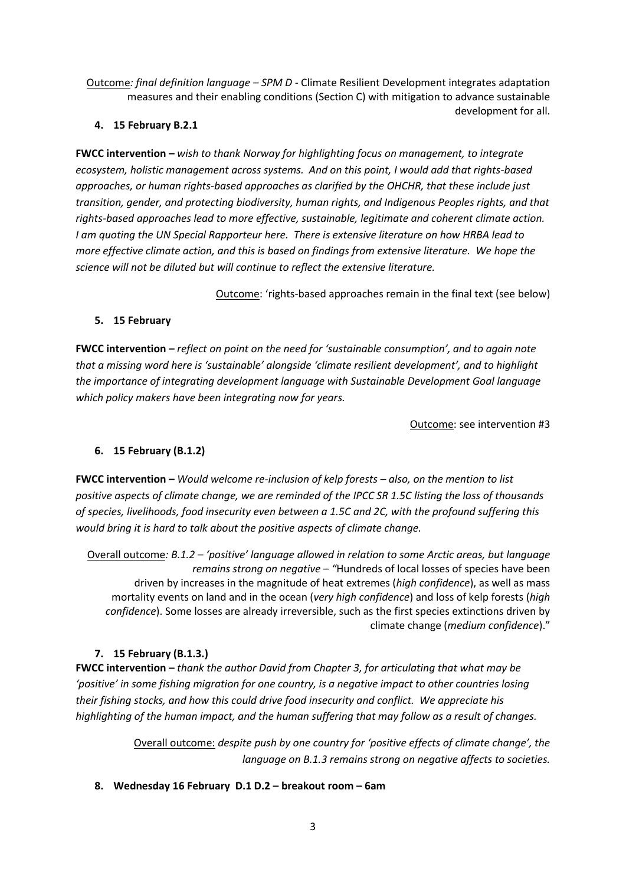Outcome*: final definition language – SPM D -* Climate Resilient Development integrates adaptation measures and their enabling conditions (Section C) with mitigation to advance sustainable development for all.

### **4. 15 February B.2.1**

**FWCC intervention –** *wish to thank Norway for highlighting focus on management, to integrate ecosystem, holistic management across systems. And on this point, I would add that rights-based approaches, or human rights-based approaches as clarified by the OHCHR, that these include just transition, gender, and protecting biodiversity, human rights, and Indigenous Peoples rights, and that rights-based approaches lead to more effective, sustainable, legitimate and coherent climate action. I am quoting the UN Special Rapporteur here. There is extensive literature on how HRBA lead to more effective climate action, and this is based on findings from extensive literature. We hope the science will not be diluted but will continue to reflect the extensive literature.*

Outcome: 'rights-based approaches remain in the final text (see below)

# **5. 15 February**

**FWCC intervention –** *reflect on point on the need for 'sustainable consumption', and to again note that a missing word here is 'sustainable' alongside 'climate resilient development', and to highlight the importance of integrating development language with Sustainable Development Goal language which policy makers have been integrating now for years.*

Outcome: see intervention #3

# **6. 15 February (B.1.2)**

**FWCC intervention –** *Would welcome re-inclusion of kelp forests – also, on the mention to list positive aspects of climate change, we are reminded of the IPCC SR 1.5C listing the loss of thousands of species, livelihoods, food insecurity even between a 1.5C and 2C, with the profound suffering this would bring it is hard to talk about the positive aspects of climate change.*

Overall outcome*: B.1.2 – 'positive' language allowed in relation to some Arctic areas, but language remains strong on negative – "*Hundreds of local losses of species have been driven by increases in the magnitude of heat extremes (*high confidence*), as well as mass mortality events on land and in the ocean (*very high confidence*) and loss of kelp forests (*high confidence*). Some losses are already irreversible, such as the first species extinctions driven by climate change (*medium confidence*)."

# **7. 15 February (B.1.3.)**

**FWCC intervention –** *thank the author David from Chapter 3, for articulating that what may be 'positive' in some fishing migration for one country, is a negative impact to other countries losing their fishing stocks, and how this could drive food insecurity and conflict. We appreciate his highlighting of the human impact, and the human suffering that may follow as a result of changes.*

> Overall outcome: *despite push by one country for 'positive effects of climate change', the language on B.1.3 remains strong on negative affects to societies.*

**8. Wednesday 16 February D.1 D.2 – breakout room – 6am**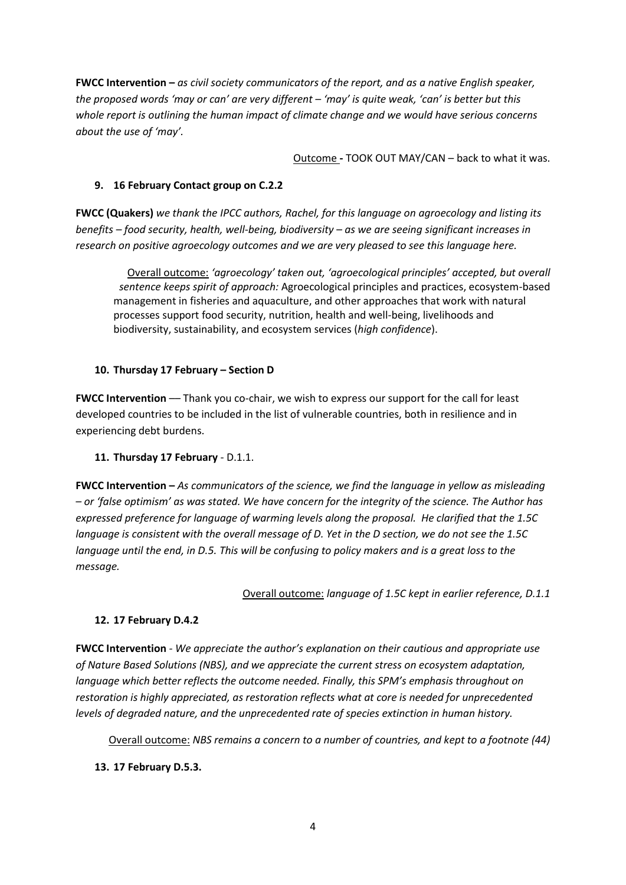**FWCC Intervention –** *as civil society communicators of the report, and as a native English speaker, the proposed words 'may or can' are very different – 'may' is quite weak, 'can' is better but this whole report is outlining the human impact of climate change and we would have serious concerns about the use of 'may'.*

Outcome **-** TOOK OUT MAY/CAN – back to what it was.

#### **9. 16 February Contact group on C.2.2**

**FWCC (Quakers)** *we thank the IPCC authors, Rachel, for this language on agroecology and listing its benefits – food security, health, well-being, biodiversity – as we are seeing significant increases in research on positive agroecology outcomes and we are very pleased to see this language here.*

Overall outcome: *'agroecology' taken out, 'agroecological principles' accepted, but overall sentence keeps spirit of approach:* Agroecological principles and practices, ecosystem-based management in fisheries and aquaculture, and other approaches that work with natural processes support food security, nutrition, health and well-being, livelihoods and biodiversity, sustainability, and ecosystem services (*high confidence*).

#### **10. Thursday 17 February – Section D**

**FWCC Intervention** –– Thank you co-chair, we wish to express our support for the call for least developed countries to be included in the list of vulnerable countries, both in resilience and in experiencing debt burdens.

#### **11. Thursday 17 February** - D.1.1.

**FWCC Intervention –** *As communicators of the science, we find the language in yellow as misleading – or 'false optimism' as was stated. We have concern for the integrity of the science. The Author has expressed preference for language of warming levels along the proposal. He clarified that the 1.5C language is consistent with the overall message of D. Yet in the D section, we do not see the 1.5C language until the end, in D.5. This will be confusing to policy makers and is a great loss to the message.*

Overall outcome: *language of 1.5C kept in earlier reference, D.1.1*

#### **12. 17 February D.4.2**

**FWCC Intervention** *- We appreciate the author's explanation on their cautious and appropriate use of Nature Based Solutions (NBS), and we appreciate the current stress on ecosystem adaptation, language which better reflects the outcome needed. Finally, this SPM's emphasis throughout on restoration is highly appreciated, as restoration reflects what at core is needed for unprecedented levels of degraded nature, and the unprecedented rate of species extinction in human history.*

Overall outcome: *NBS remains a concern to a number of countries, and kept to a footnote (44)*

#### **13. 17 February D.5.3.**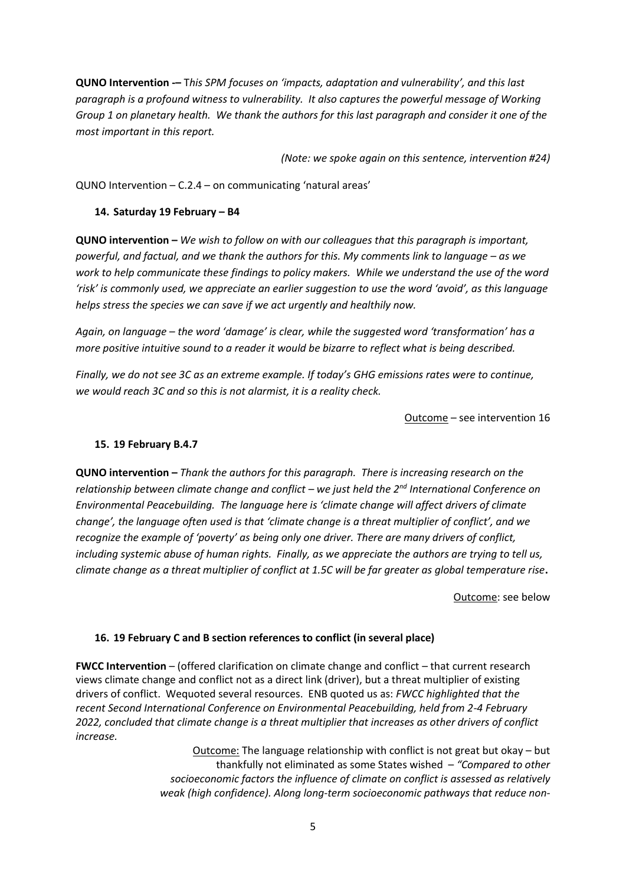**QUNO Intervention -–** T*his SPM focuses on 'impacts, adaptation and vulnerability', and this last paragraph is a profound witness to vulnerability. It also captures the powerful message of Working Group 1 on planetary health. We thank the authors for this last paragraph and consider it one of the most important in this report.*

*(Note: we spoke again on this sentence, intervention #24)*

QUNO Intervention – C.2.4 – on communicating 'natural areas'

#### **14. Saturday 19 February – B4**

**QUNO intervention –** *We wish to follow on with our colleagues that this paragraph is important, powerful, and factual, and we thank the authors for this. My comments link to language – as we work to help communicate these findings to policy makers. While we understand the use of the word 'risk' is commonly used, we appreciate an earlier suggestion to use the word 'avoid', as this language helps stress the species we can save if we act urgently and healthily now.* 

*Again, on language – the word 'damage' is clear, while the suggested word 'transformation' has a more positive intuitive sound to a reader it would be bizarre to reflect what is being described.*

*Finally, we do not see 3C as an extreme example. If today's GHG emissions rates were to continue, we would reach 3C and so this is not alarmist, it is a reality check.*

Outcome – see intervention 16

#### **15. 19 February B.4.7**

**QUNO intervention –** *Thank the authors for this paragraph. There is increasing research on the relationship between climate change and conflict – we just held the 2nd International Conference on Environmental Peacebuilding. The language here is 'climate change will affect drivers of climate change', the language often used is that 'climate change is a threat multiplier of conflict', and we recognize the example of 'poverty' as being only one driver. There are many drivers of conflict, including systemic abuse of human rights. Finally, as we appreciate the authors are trying to tell us, climate change as a threat multiplier of conflict at 1.5C will be far greater as global temperature rise***.**

Outcome: see below

#### **16. 19 February C and B section references to conflict (in several place)**

**FWCC Intervention** – (offered clarification on climate change and conflict – that current research views climate change and conflict not as a direct link (driver), but a threat multiplier of existing drivers of conflict. Wequoted several resources. ENB quoted us as: *FWCC highlighted that the recent Second International Conference on Environmental Peacebuilding, held from 2-4 February 2022, concluded that climate change is a threat multiplier that increases as other drivers of conflict increase.* 

> Outcome: The language relationship with conflict is not great but okay – but thankfully not eliminated as some States wished – *"Compared to other socioeconomic factors the influence of climate on conflict is assessed as relatively weak (high confidence). Along long-term socioeconomic pathways that reduce non-*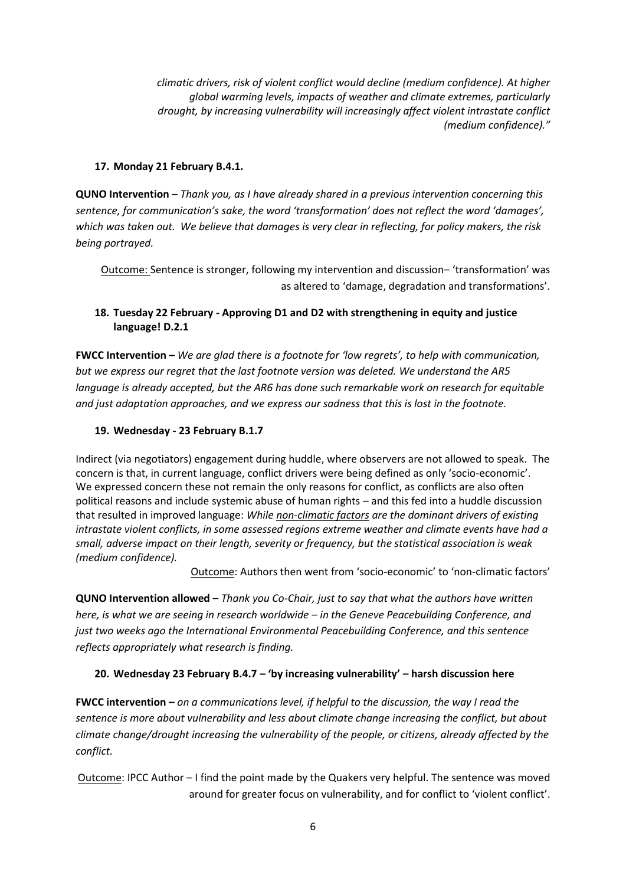*climatic drivers, risk of violent conflict would decline (medium confidence). At higher global warming levels, impacts of weather and climate extremes, particularly drought, by increasing vulnerability will increasingly affect violent intrastate conflict (medium confidence)."*

### **17. Monday 21 February B.4.1.**

**QUNO Intervention** – *Thank you, as I have already shared in a previous intervention concerning this sentence, for communication's sake, the word 'transformation' does not reflect the word 'damages', which was taken out. We believe that damages is very clear in reflecting, for policy makers, the risk being portrayed.* 

Outcome: Sentence is stronger, following my intervention and discussion– 'transformation' was as altered to 'damage, degradation and transformations'.

### **18. Tuesday 22 February - Approving D1 and D2 with strengthening in equity and justice language! D.2.1**

**FWCC Intervention –** *We are glad there is a footnote for 'low regrets', to help with communication, but we express our regret that the last footnote version was deleted. We understand the AR5 language is already accepted, but the AR6 has done such remarkable work on research for equitable and just adaptation approaches, and we express our sadness that this is lost in the footnote.*

### **19. Wednesday - 23 February B.1.7**

Indirect (via negotiators) engagement during huddle, where observers are not allowed to speak. The concern is that, in current language, conflict drivers were being defined as only 'socio-economic'. We expressed concern these not remain the only reasons for conflict, as conflicts are also often political reasons and include systemic abuse of human rights – and this fed into a huddle discussion that resulted in improved language: *While non-climatic factors are the dominant drivers of existing intrastate violent conflicts, in some assessed regions extreme weather and climate events have had a small, adverse impact on their length, severity or frequency, but the statistical association is weak (medium confidence).*

Outcome: Authors then went from 'socio-economic' to 'non-climatic factors'

**QUNO Intervention allowed** – *Thank you Co-Chair, just to say that what the authors have written here, is what we are seeing in research worldwide – in the Geneve Peacebuilding Conference, and just two weeks ago the International Environmental Peacebuilding Conference, and this sentence reflects appropriately what research is finding.*

# **20. Wednesday 23 February B.4.7 – 'by increasing vulnerability' – harsh discussion here**

**FWCC intervention –** *on a communications level, if helpful to the discussion, the way I read the sentence is more about vulnerability and less about climate change increasing the conflict, but about climate change/drought increasing the vulnerability of the people, or citizens, already affected by the conflict.*

Outcome: IPCC Author – I find the point made by the Quakers very helpful. The sentence was moved around for greater focus on vulnerability, and for conflict to 'violent conflict'.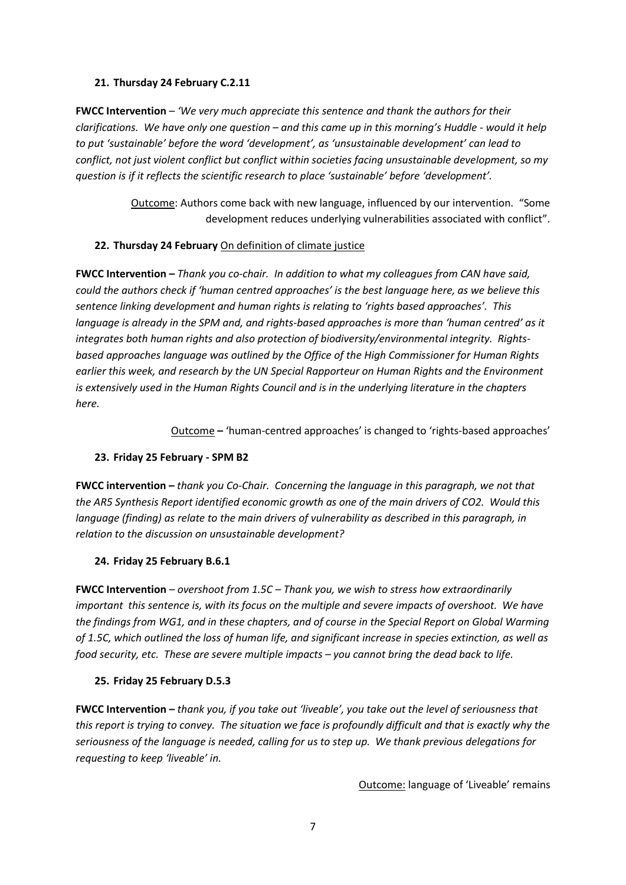#### **21. Thursday 24 February C.2.11**

**FWCC Intervention** – *'We very much appreciate this sentence and thank the authors for their clarifications. We have only one question – and this came up in this morning's Huddle - would it help to put 'sustainable' before the word 'development', as 'unsustainable development' can lead to conflict, not just violent conflict but conflict within societies facing unsustainable development, so my question is if it reflects the scientific research to place 'sustainable' before 'development'.*

> Outcome: Authors come back with new language, influenced by our intervention. "Some development reduces underlying vulnerabilities associated with conflict".

#### **22. Thursday 24 February** On definition of climate justice

**FWCC Intervention –** *Thank you co-chair. In addition to what my colleagues from CAN have said, could the authors check if 'human centred approaches' is the best language here, as we believe this sentence linking development and human rights is relating to 'rights based approaches'. This language is already in the SPM and, and rights-based approaches is more than 'human centred' as it integrates both human rights and also protection of biodiversity/environmental integrity. Rightsbased approaches language was outlined by the Office of the High Commissioner for Human Rights earlier this week, and research by the UN Special Rapporteur on Human Rights and the Environment is extensively used in the Human Rights Council and is in the underlying literature in the chapters here.*

Outcome **–** 'human-centred approaches' is changed to 'rights-based approaches'

#### **23. Friday 25 February - SPM B2**

**FWCC intervention –** *thank you Co-Chair. Concerning the language in this paragraph, we not that the AR5 Synthesis Report identified economic growth as one of the main drivers of CO2. Would this language (finding) as relate to the main drivers of vulnerability as described in this paragraph, in relation to the discussion on unsustainable development?*

#### **24. Friday 25 February B.6.1**

**FWCC Intervention** *– overshoot from 1.5C – Thank you, we wish to stress how extraordinarily important this sentence is, with its focus on the multiple and severe impacts of overshoot. We have the findings from WG1, and in these chapters, and of course in the Special Report on Global Warming of 1.5C, which outlined the loss of human life, and significant increase in species extinction, as well as food security, etc. These are severe multiple impacts – you cannot bring the dead back to life.*

#### **25. Friday 25 February D.5.3**

**FWCC Intervention –** *thank you, if you take out 'liveable', you take out the level of seriousness that this report is trying to convey. The situation we face is profoundly difficult and that is exactly why the seriousness of the language is needed, calling for us to step up. We thank previous delegations for requesting to keep 'liveable' in.*

Outcome: language of 'Liveable' remains